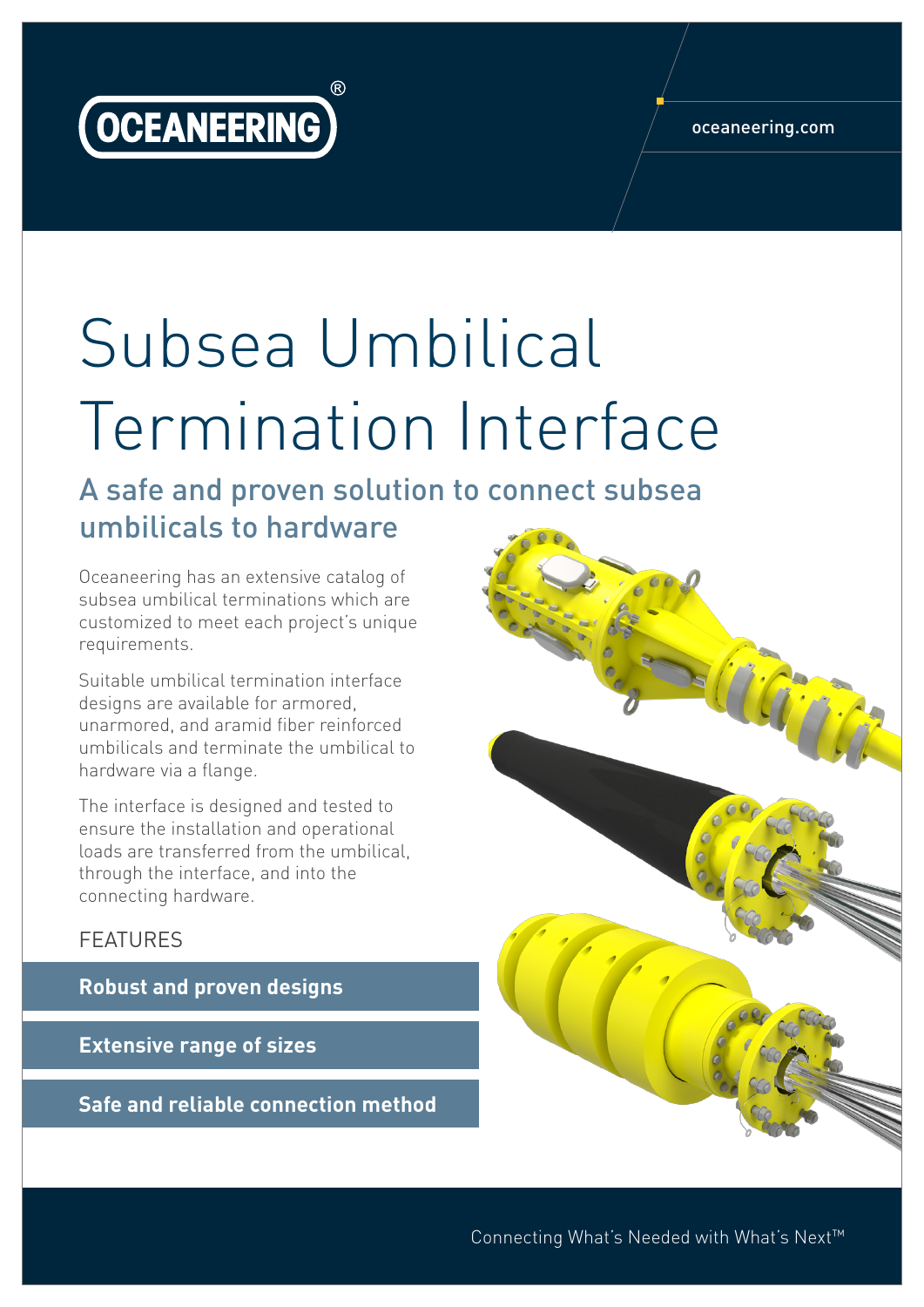

#### oceaneering.com

# Subsea Umbilical Termination Interface

A safe and proven solution to connect subsea umbilicals to hardware

Oceaneering has an extensive catalog of subsea umbilical terminations which are customized to meet each project's unique requirements.

Suitable umbilical termination interface designs are available for armored, unarmored, and aramid fiber reinforced umbilicals and terminate the umbilical to hardware via a flange.

The interface is designed and tested to ensure the installation and operational loads are transferred from the umbilical, through the interface, and into the connecting hardware.

#### FEATURES

**Robust and proven designs**

**Extensive range of sizes**

**Safe and reliable connection method**



Connecting What's Needed with What's Next™